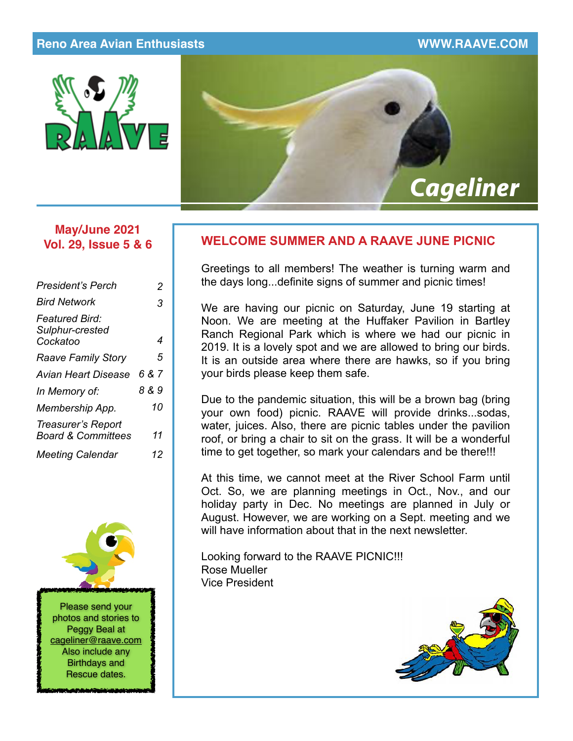## **Reno Area Avian Enthusiasts WWW.RAAVE.COM**





## **May/June 2021 Vol. 29, Issue 5 & 6**

| President's Perch                                   | 2     |
|-----------------------------------------------------|-------|
| <b>Bird Network</b>                                 | 3     |
| <b>Featured Bird:</b><br>Sulphur-crested            |       |
| Cockatoo                                            | 4     |
| <b>Raave Family Story</b>                           | 5     |
| Avian Heart Disease                                 | 6 & 7 |
| In Memory of:                                       | 8 & 9 |
| Membership App.                                     | 10    |
| Treasurer's Report<br><b>Board &amp; Committees</b> | 11    |
| <b>Meeting Calendar</b>                             | 12    |



## **WELCOME SUMMER AND A RAAVE JUNE PICNIC**

Greetings to all members! The weather is turning warm and the days long...definite signs of summer and picnic times!

We are having our picnic on Saturday, June 19 starting at Noon. We are meeting at the Huffaker Pavilion in Bartley Ranch Regional Park which is where we had our picnic in 2019. It is a lovely spot and we are allowed to bring our birds. It is an outside area where there are hawks, so if you bring your birds please keep them safe.

Due to the pandemic situation, this will be a brown bag (bring your own food) picnic. RAAVE will provide drinks...sodas, water, juices. Also, there are picnic tables under the pavilion roof, or bring a chair to sit on the grass. It will be a wonderful time to get together, so mark your calendars and be there!!!

At this time, we cannot meet at the River School Farm until Oct. So, we are planning meetings in Oct., Nov., and our holiday party in Dec. No meetings are planned in July or August. However, we are working on a Sept. meeting and we will have information about that in the next newsletter.

Looking forward to the RAAVE PICNIC!!! Rose Mueller Vice President